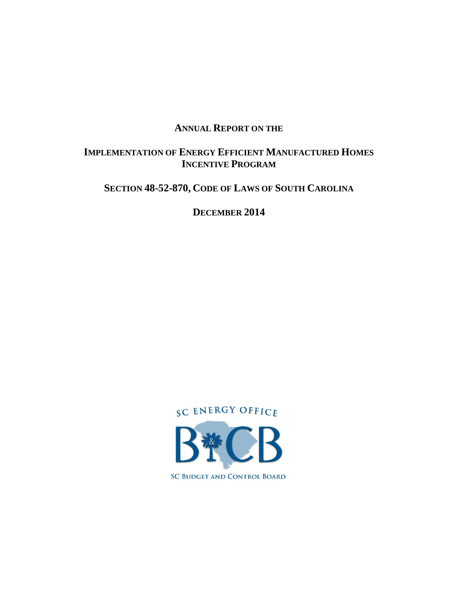## **ANNUAL REPORT ON THE**

## **IMPLEMENTATION OF ENERGY EFFICIENT MANUFACTURED HOMES INCENTIVE PROGRAM**

**SECTION 48-52-870, CODE OF LAWS OF SOUTH CAROLINA**

**DECEMBER 2014**

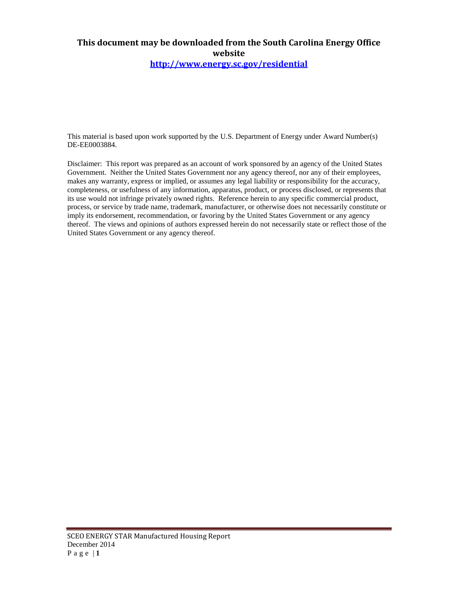# **This document may be downloaded from the South Carolina Energy Office website**

**[http://www.energy.sc.gov/residential](https://www.energy.sc.gov/residential)**

This material is based upon work supported by the U.S. Department of Energy under Award Number(s) DE-EE0003884.

Disclaimer: This report was prepared as an account of work sponsored by an agency of the United States Government. Neither the United States Government nor any agency thereof, nor any of their employees, makes any warranty, express or implied, or assumes any legal liability or responsibility for the accuracy, completeness, or usefulness of any information, apparatus, product, or process disclosed, or represents that its use would not infringe privately owned rights. Reference herein to any specific commercial product, process, or service by trade name, trademark, manufacturer, or otherwise does not necessarily constitute or imply its endorsement, recommendation, or favoring by the United States Government or any agency thereof. The views and opinions of authors expressed herein do not necessarily state or reflect those of the United States Government or any agency thereof.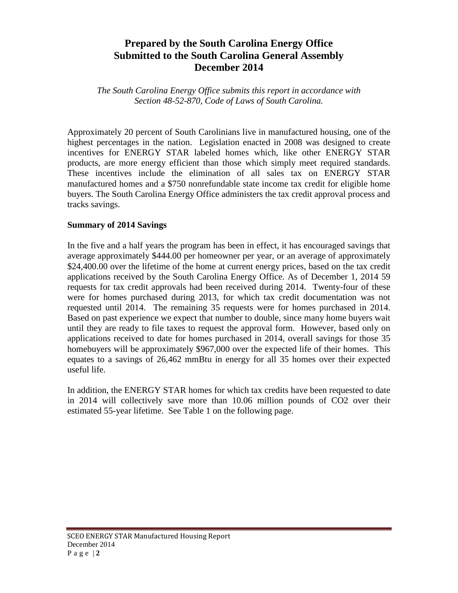# **Prepared by the South Carolina Energy Office Submitted to the South Carolina General Assembly December 2014**

*The South Carolina Energy Office submits this report in accordance with Section 48-52-870, Code of Laws of South Carolina.*

Approximately 20 percent of South Carolinians live in manufactured housing, one of the highest percentages in the nation. Legislation enacted in 2008 was designed to create incentives for ENERGY STAR labeled homes which, like other ENERGY STAR products, are more energy efficient than those which simply meet required standards. These incentives include the elimination of all sales tax on ENERGY STAR manufactured homes and a \$750 nonrefundable state income tax credit for eligible home buyers. The South Carolina Energy Office administers the tax credit approval process and tracks savings.

#### **Summary of 2014 Savings**

In the five and a half years the program has been in effect, it has encouraged savings that average approximately \$444.00 per homeowner per year, or an average of approximately \$24,400.00 over the lifetime of the home at current energy prices, based on the tax credit applications received by the South Carolina Energy Office. As of December 1, 2014 59 requests for tax credit approvals had been received during 2014. Twenty-four of these were for homes purchased during 2013, for which tax credit documentation was not requested until 2014. The remaining 35 requests were for homes purchased in 2014. Based on past experience we expect that number to double, since many home buyers wait until they are ready to file taxes to request the approval form. However, based only on applications received to date for homes purchased in 2014, overall savings for those 35 homebuyers will be approximately \$967,000 over the expected life of their homes. This equates to a savings of 26,462 mmBtu in energy for all 35 homes over their expected useful life.

In addition, the ENERGY STAR homes for which tax credits have been requested to date in 2014 will collectively save more than 10.06 million pounds of CO2 over their estimated 55-year lifetime. See Table 1 on the following page.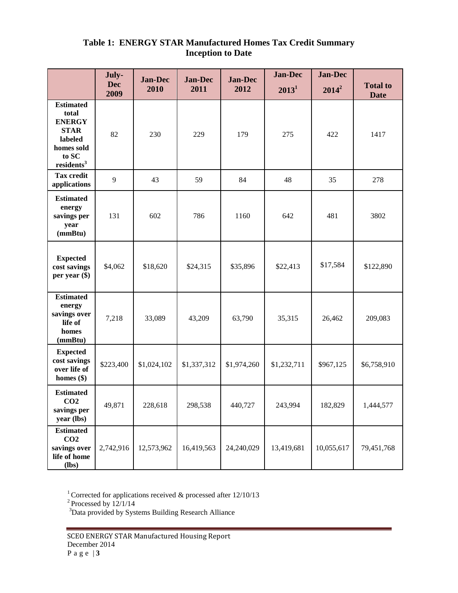## **Table 1: ENERGY STAR Manufactured Homes Tax Credit Summary Inception to Date**

|                                                                                                                       | July-              | <b>Jan-Dec</b> | <b>Jan-Dec</b> | <b>Jan-Dec</b> | <b>Jan-Dec</b> | <b>Jan-Dec</b> |                                |
|-----------------------------------------------------------------------------------------------------------------------|--------------------|----------------|----------------|----------------|----------------|----------------|--------------------------------|
|                                                                                                                       | <b>Dec</b><br>2009 | 2010           | 2011           | 2012           | $2013^1$       | $2014^2$       | <b>Total to</b><br><b>Date</b> |
| <b>Estimated</b><br>total<br><b>ENERGY</b><br><b>STAR</b><br>labeled<br>homes sold<br>to SC<br>residents <sup>3</sup> | 82                 | 230            | 229            | 179            | 275            | 422            | 1417                           |
| <b>Tax credit</b><br>applications                                                                                     | 9                  | 43             | 59             | 84             | 48             | 35             | 278                            |
| <b>Estimated</b><br>energy<br>savings per<br>year<br>(mmBtu)                                                          | 131                | 602            | 786            | 1160           | 642            | 481            | 3802                           |
| <b>Expected</b><br>cost savings<br>per year $(\$)$                                                                    | \$4,062            | \$18,620       | \$24,315       | \$35,896       | \$22,413       | \$17,584       | \$122,890                      |
| <b>Estimated</b><br>energy<br>savings over<br>life of<br>homes<br>(mmBtu)                                             | 7,218              | 33,089         | 43,209         | 63,790         | 35,315         | 26,462         | 209,083                        |
| <b>Expected</b><br>cost savings<br>over life of<br>homes $(\$)$                                                       | \$223,400          | \$1,024,102    | \$1,337,312    | \$1,974,260    | \$1,232,711    | \$967,125      | \$6,758,910                    |
| <b>Estimated</b><br>CO <sub>2</sub><br>savings per<br>year (lbs)                                                      | 49,871             | 228,618        | 298,538        | 440,727        | 243,994        | 182,829        | 1,444,577                      |
| <b>Estimated</b><br>CO <sub>2</sub><br>savings over<br>life of home<br>(lbs)                                          | 2,742,916          | 12,573,962     | 16,419,563     | 24,240,029     | 13,419,681     | 10,055,617     | 79,451,768                     |

<sup>1</sup> Corrected for applications received  $\&$  processed after 12/10/13

 $2^2$ Processed by  $12/1/14$ 

<sup>3</sup>Data provided by Systems Building Research Alliance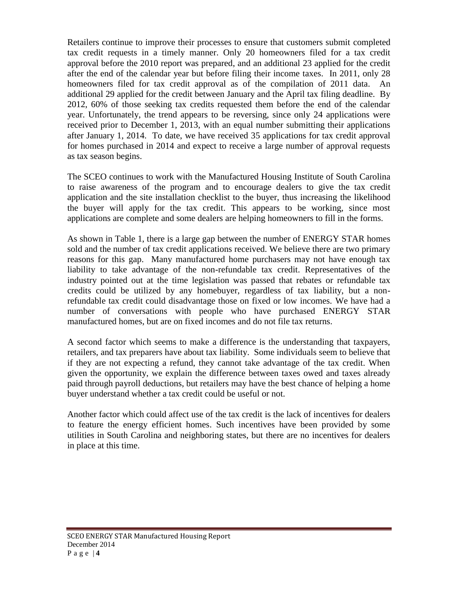Retailers continue to improve their processes to ensure that customers submit completed tax credit requests in a timely manner. Only 20 homeowners filed for a tax credit approval before the 2010 report was prepared, and an additional 23 applied for the credit after the end of the calendar year but before filing their income taxes. In 2011, only 28 homeowners filed for tax credit approval as of the compilation of 2011 data. An additional 29 applied for the credit between January and the April tax filing deadline. By 2012, 60% of those seeking tax credits requested them before the end of the calendar year. Unfortunately, the trend appears to be reversing, since only 24 applications were received prior to December 1, 2013, with an equal number submitting their applications after January 1, 2014. To date, we have received 35 applications for tax credit approval for homes purchased in 2014 and expect to receive a large number of approval requests as tax season begins.

The SCEO continues to work with the Manufactured Housing Institute of South Carolina to raise awareness of the program and to encourage dealers to give the tax credit application and the site installation checklist to the buyer, thus increasing the likelihood the buyer will apply for the tax credit. This appears to be working, since most applications are complete and some dealers are helping homeowners to fill in the forms.

As shown in Table 1, there is a large gap between the number of ENERGY STAR homes sold and the number of tax credit applications received. We believe there are two primary reasons for this gap. Many manufactured home purchasers may not have enough tax liability to take advantage of the non-refundable tax credit. Representatives of the industry pointed out at the time legislation was passed that rebates or refundable tax credits could be utilized by any homebuyer, regardless of tax liability, but a nonrefundable tax credit could disadvantage those on fixed or low incomes. We have had a number of conversations with people who have purchased ENERGY STAR manufactured homes, but are on fixed incomes and do not file tax returns.

A second factor which seems to make a difference is the understanding that taxpayers, retailers, and tax preparers have about tax liability. Some individuals seem to believe that if they are not expecting a refund, they cannot take advantage of the tax credit. When given the opportunity, we explain the difference between taxes owed and taxes already paid through payroll deductions, but retailers may have the best chance of helping a home buyer understand whether a tax credit could be useful or not.

Another factor which could affect use of the tax credit is the lack of incentives for dealers to feature the energy efficient homes. Such incentives have been provided by some utilities in South Carolina and neighboring states, but there are no incentives for dealers in place at this time.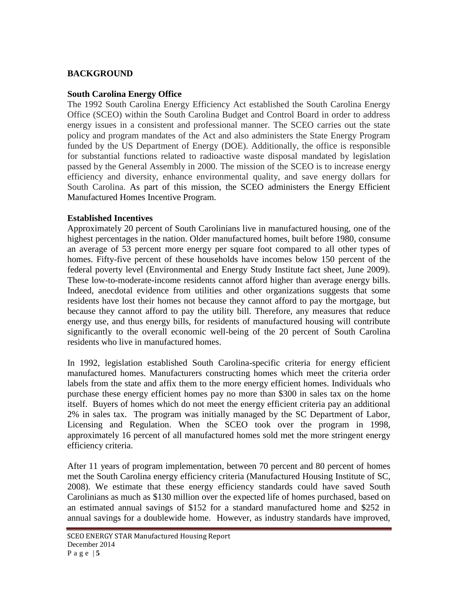## **BACKGROUND**

#### **South Carolina Energy Office**

The 1992 South Carolina Energy Efficiency Act established the South Carolina Energy Office (SCEO) within the South Carolina Budget and Control Board in order to address energy issues in a consistent and professional manner. The SCEO carries out the state policy and program mandates of the Act and also administers the State Energy Program funded by the US Department of Energy (DOE). Additionally, the office is responsible for substantial functions related to radioactive waste disposal mandated by legislation passed by the General Assembly in 2000. The mission of the SCEO is to increase energy efficiency and diversity, enhance environmental quality, and save energy dollars for South Carolina. As part of this mission, the SCEO administers the Energy Efficient Manufactured Homes Incentive Program.

#### **Established Incentives**

Approximately 20 percent of South Carolinians live in manufactured housing, one of the highest percentages in the nation. Older manufactured homes, built before 1980, consume an average of 53 percent more energy per square foot compared to all other types of homes. Fifty-five percent of these households have incomes below 150 percent of the federal poverty level (Environmental and Energy Study Institute fact sheet, June 2009). These low-to-moderate-income residents cannot afford higher than average energy bills. Indeed, anecdotal evidence from utilities and other organizations suggests that some residents have lost their homes not because they cannot afford to pay the mortgage, but because they cannot afford to pay the utility bill. Therefore, any measures that reduce energy use, and thus energy bills, for residents of manufactured housing will contribute significantly to the overall economic well-being of the 20 percent of South Carolina residents who live in manufactured homes.

In 1992, legislation established South Carolina-specific criteria for energy efficient manufactured homes. Manufacturers constructing homes which meet the criteria order labels from the state and affix them to the more energy efficient homes. Individuals who purchase these energy efficient homes pay no more than \$300 in sales tax on the home itself. Buyers of homes which do not meet the energy efficient criteria pay an additional 2% in sales tax. The program was initially managed by the SC Department of Labor, Licensing and Regulation. When the SCEO took over the program in 1998, approximately 16 percent of all manufactured homes sold met the more stringent energy efficiency criteria.

After 11 years of program implementation, between 70 percent and 80 percent of homes met the South Carolina energy efficiency criteria (Manufactured Housing Institute of SC, 2008). We estimate that these energy efficiency standards could have saved South Carolinians as much as \$130 million over the expected life of homes purchased, based on an estimated annual savings of \$152 for a standard manufactured home and \$252 in annual savings for a doublewide home. However, as industry standards have improved,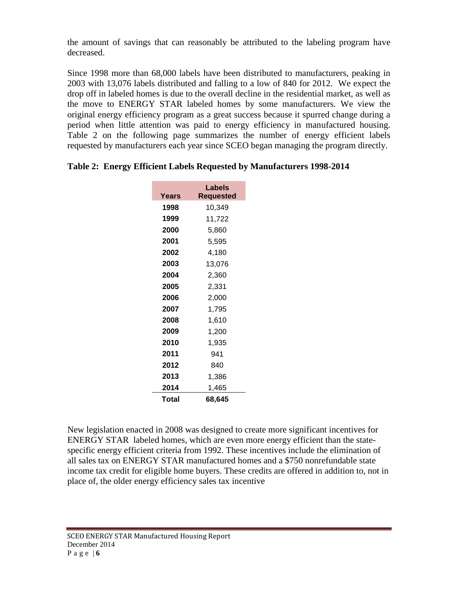the amount of savings that can reasonably be attributed to the labeling program have decreased.

Since 1998 more than 68,000 labels have been distributed to manufacturers, peaking in 2003 with 13,076 labels distributed and falling to a low of 840 for 2012. We expect the drop off in labeled homes is due to the overall decline in the residential market, as well as the move to ENERGY STAR labeled homes by some manufacturers. We view the original energy efficiency program as a great success because it spurred change during a period when little attention was paid to energy efficiency in manufactured housing. Table 2 on the following page summarizes the number of energy efficient labels requested by manufacturers each year since SCEO began managing the program directly.

|       | Labels    |  |  |  |
|-------|-----------|--|--|--|
| Years | Requested |  |  |  |
| 1998  | 10,349    |  |  |  |
| 1999  | 11,722    |  |  |  |
| 2000  | 5,860     |  |  |  |
| 2001  | 5,595     |  |  |  |
| 2002  | 4,180     |  |  |  |
| 2003  | 13,076    |  |  |  |
| 2004  | 2,360     |  |  |  |
| 2005  | 2,331     |  |  |  |
| 2006  | 2,000     |  |  |  |
| 2007  | 1,795     |  |  |  |
| 2008  | 1,610     |  |  |  |
| 2009  | 1,200     |  |  |  |
| 2010  | 1,935     |  |  |  |
| 2011  | 941       |  |  |  |
| 2012  | 840       |  |  |  |
| 2013  | 1,386     |  |  |  |
| 2014  | 1,465     |  |  |  |
| Total | 68,645    |  |  |  |

|  |  | Table 2: Energy Efficient Labels Requested by Manufacturers 1998-2014 |  |
|--|--|-----------------------------------------------------------------------|--|
|  |  |                                                                       |  |

New legislation enacted in 2008 was designed to create more significant incentives for ENERGY STAR labeled homes, which are even more energy efficient than the statespecific energy efficient criteria from 1992. These incentives include the elimination of all sales tax on ENERGY STAR manufactured homes and a \$750 nonrefundable state income tax credit for eligible home buyers. These credits are offered in addition to, not in place of, the older energy efficiency sales tax incentive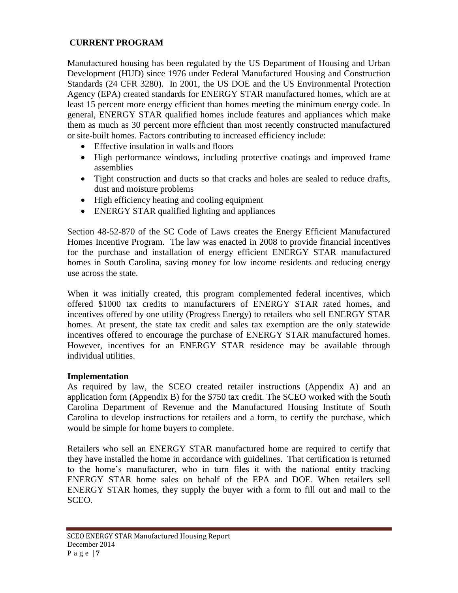## **CURRENT PROGRAM**

Manufactured housing has been regulated by the US Department of Housing and Urban Development (HUD) since 1976 under Federal Manufactured Housing and Construction Standards (24 CFR 3280). In 2001, the US DOE and the US Environmental Protection Agency (EPA) created standards for ENERGY STAR manufactured homes, which are at least 15 percent more energy efficient than homes meeting the minimum energy code. In general, ENERGY STAR qualified homes include features and appliances which make them as much as 30 percent more efficient than most recently constructed manufactured or site-built homes. Factors contributing to increased efficiency include:

- Effective insulation in walls and floors
- High performance windows, including protective coatings and improved frame assemblies
- Tight construction and ducts so that cracks and holes are sealed to reduce drafts, dust and moisture problems
- High efficiency heating and cooling equipment
- ENERGY STAR qualified lighting and appliances

Section 48-52-870 of the SC Code of Laws creates the Energy Efficient Manufactured Homes Incentive Program. The law was enacted in 2008 to provide financial incentives for the purchase and installation of energy efficient ENERGY STAR manufactured homes in South Carolina, saving money for low income residents and reducing energy use across the state.

When it was initially created, this program complemented federal incentives, which offered \$1000 tax credits to manufacturers of ENERGY STAR rated homes, and incentives offered by one utility (Progress Energy) to retailers who sell ENERGY STAR homes. At present, the state tax credit and sales tax exemption are the only statewide incentives offered to encourage the purchase of ENERGY STAR manufactured homes. However, incentives for an ENERGY STAR residence may be available through individual utilities.

### **Implementation**

As required by law, the SCEO created retailer instructions (Appendix A) and an application form (Appendix B) for the \$750 tax credit. The SCEO worked with the South Carolina Department of Revenue and the Manufactured Housing Institute of South Carolina to develop instructions for retailers and a form, to certify the purchase, which would be simple for home buyers to complete.

Retailers who sell an ENERGY STAR manufactured home are required to certify that they have installed the home in accordance with guidelines. That certification is returned to the home's manufacturer, who in turn files it with the national entity tracking ENERGY STAR home sales on behalf of the EPA and DOE. When retailers sell ENERGY STAR homes, they supply the buyer with a form to fill out and mail to the SCEO.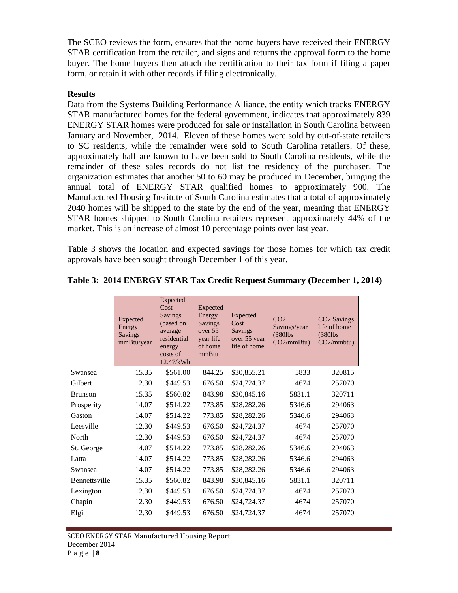The SCEO reviews the form, ensures that the home buyers have received their ENERGY STAR certification from the retailer, and signs and returns the approval form to the home buyer. The home buyers then attach the certification to their tax form if filing a paper form, or retain it with other records if filing electronically.

#### **Results**

Data from the Systems Building Performance Alliance, the entity which tracks ENERGY STAR manufactured homes for the federal government, indicates that approximately 839 ENERGY STAR homes were produced for sale or installation in South Carolina between January and November, 2014. Eleven of these homes were sold by out-of-state retailers to SC residents, while the remainder were sold to South Carolina retailers. Of these, approximately half are known to have been sold to South Carolina residents, while the remainder of these sales records do not list the residency of the purchaser. The organization estimates that another 50 to 60 may be produced in December, bringing the annual total of ENERGY STAR qualified homes to approximately 900. The Manufactured Housing Institute of South Carolina estimates that a total of approximately 2040 homes will be shipped to the state by the end of the year, meaning that ENERGY STAR homes shipped to South Carolina retailers represent approximately 44% of the market. This is an increase of almost 10 percentage points over last year.

Table 3 shows the location and expected savings for those homes for which tax credit approvals have been sought through December 1 of this year.

|               | Expected<br>Energy<br><b>Savings</b><br>mmBtu/year | Expected<br>Cost<br>Savings<br>(based on<br>average<br>residential<br>energy<br>costs of<br>12.47/kWh | Expected<br>Energy<br><b>Savings</b><br>over 55<br>year life<br>of home<br>mmBtu | Expected<br>Cost<br><b>Savings</b><br>over 55 year<br>life of home | CO <sub>2</sub><br>Savings/year<br>$(380$ lbs<br>CO2/mmBtu) | CO2 Savings<br>life of home<br>$(380$ lbs<br>CO2/mmbtu) |
|---------------|----------------------------------------------------|-------------------------------------------------------------------------------------------------------|----------------------------------------------------------------------------------|--------------------------------------------------------------------|-------------------------------------------------------------|---------------------------------------------------------|
| Swansea       | 15.35                                              | \$561.00                                                                                              | 844.25                                                                           | \$30,855.21                                                        | 5833                                                        | 320815                                                  |
| Gilbert       | 12.30                                              | \$449.53                                                                                              | 676.50                                                                           | \$24,724.37                                                        | 4674                                                        | 257070                                                  |
| Brunson       | 15.35                                              | \$560.82                                                                                              | 843.98                                                                           | \$30,845.16                                                        | 5831.1                                                      | 320711                                                  |
| Prosperity    | 14.07                                              | \$514.22                                                                                              | 773.85                                                                           | \$28,282.26                                                        | 5346.6                                                      | 294063                                                  |
| Gaston        | 14.07                                              | \$514.22                                                                                              | 773.85                                                                           | \$28,282.26                                                        | 5346.6                                                      | 294063                                                  |
| Leesville     | 12.30                                              | \$449.53                                                                                              | 676.50                                                                           | \$24,724.37                                                        | 4674                                                        | 257070                                                  |
| North         | 12.30                                              | \$449.53                                                                                              | 676.50                                                                           | \$24,724.37                                                        | 4674                                                        | 257070                                                  |
| St. George    | 14.07                                              | \$514.22                                                                                              | 773.85                                                                           | \$28,282.26                                                        | 5346.6                                                      | 294063                                                  |
| Latta         | 14.07                                              | \$514.22                                                                                              | 773.85                                                                           | \$28,282.26                                                        | 5346.6                                                      | 294063                                                  |
| Swansea       | 14.07                                              | \$514.22                                                                                              | 773.85                                                                           | \$28,282.26                                                        | 5346.6                                                      | 294063                                                  |
| Bennettsville | 15.35                                              | \$560.82                                                                                              | 843.98                                                                           | \$30,845.16                                                        | 5831.1                                                      | 320711                                                  |
| Lexington     | 12.30                                              | \$449.53                                                                                              | 676.50                                                                           | \$24,724.37                                                        | 4674                                                        | 257070                                                  |
| Chapin        | 12.30                                              | \$449.53                                                                                              | 676.50                                                                           | \$24,724.37                                                        | 4674                                                        | 257070                                                  |
| Elgin         | 12.30                                              | \$449.53                                                                                              | 676.50                                                                           | \$24,724.37                                                        | 4674                                                        | 257070                                                  |
|               |                                                    |                                                                                                       |                                                                                  |                                                                    |                                                             |                                                         |

#### **Table 3: 2014 ENERGY STAR Tax Credit Request Summary (December 1, 2014)**

SCEO ENERGY STAR Manufactured Housing Report December 2014 P a g e | **8**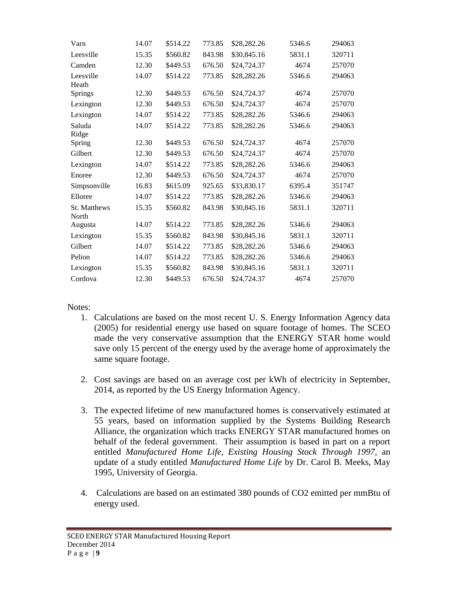| Varn                  | 14.07 | \$514.22 | 773.85 | \$28,282.26 | 5346.6 | 294063 |
|-----------------------|-------|----------|--------|-------------|--------|--------|
| Leesville             | 15.35 | \$560.82 | 843.98 | \$30,845.16 | 5831.1 | 320711 |
| Camden                | 12.30 | \$449.53 | 676.50 | \$24,724.37 | 4674   | 257070 |
| Leesville<br>Heath    | 14.07 | \$514.22 | 773.85 | \$28,282.26 | 5346.6 | 294063 |
| Springs               | 12.30 | \$449.53 | 676.50 | \$24,724.37 | 4674   | 257070 |
| Lexington             | 12.30 | \$449.53 | 676.50 | \$24,724.37 | 4674   | 257070 |
| Lexington             | 14.07 | \$514.22 | 773.85 | \$28,282.26 | 5346.6 | 294063 |
| Saluda<br>Ridge       | 14.07 | \$514.22 | 773.85 | \$28,282.26 | 5346.6 | 294063 |
| Spring                | 12.30 | \$449.53 | 676.50 | \$24,724.37 | 4674   | 257070 |
| Gilbert               | 12.30 | \$449.53 | 676.50 | \$24,724.37 | 4674   | 257070 |
| Lexington             | 14.07 | \$514.22 | 773.85 | \$28,282.26 | 5346.6 | 294063 |
| Enoree                | 12.30 | \$449.53 | 676.50 | \$24,724.37 | 4674   | 257070 |
| Simpsonville          | 16.83 | \$615.09 | 925.65 | \$33,830.17 | 6395.4 | 351747 |
| Elloree               | 14.07 | \$514.22 | 773.85 | \$28,282.26 | 5346.6 | 294063 |
| St. Matthews<br>North | 15.35 | \$560.82 | 843.98 | \$30,845.16 | 5831.1 | 320711 |
| Augusta               | 14.07 | \$514.22 | 773.85 | \$28,282.26 | 5346.6 | 294063 |
| Lexington             | 15.35 | \$560.82 | 843.98 | \$30,845.16 | 5831.1 | 320711 |
| Gilbert               | 14.07 | \$514.22 | 773.85 | \$28,282.26 | 5346.6 | 294063 |
| Pelion                | 14.07 | \$514.22 | 773.85 | \$28,282.26 | 5346.6 | 294063 |
| Lexington             | 15.35 | \$560.82 | 843.98 | \$30,845.16 | 5831.1 | 320711 |
| Cordova               | 12.30 | \$449.53 | 676.50 | \$24,724.37 | 4674   | 257070 |

Notes:

- 1. Calculations are based on the most recent U. S. Energy Information Agency data (2005) for residential energy use based on square footage of homes. The SCEO made the very conservative assumption that the ENERGY STAR home would save only 15 percent of the energy used by the average home of approximately the same square footage.
- 2. Cost savings are based on an average cost per kWh of electricity in September, 2014, as reported by the US Energy Information Agency.
- 3. The expected lifetime of new manufactured homes is conservatively estimated at 55 years, based on information supplied by the Systems Building Research Alliance, the organization which tracks ENERGY STAR manufactured homes on behalf of the federal government. Their assumption is based in part on a report entitled *Manufactured Home Life, Existing Housing Stock Through 1997,* an update of a study entitled *Manufactured Home Life* by Dr. Carol B. Meeks, May 1995, University of Georgia.
- 4. Calculations are based on an estimated 380 pounds of CO2 emitted per mmBtu of energy used.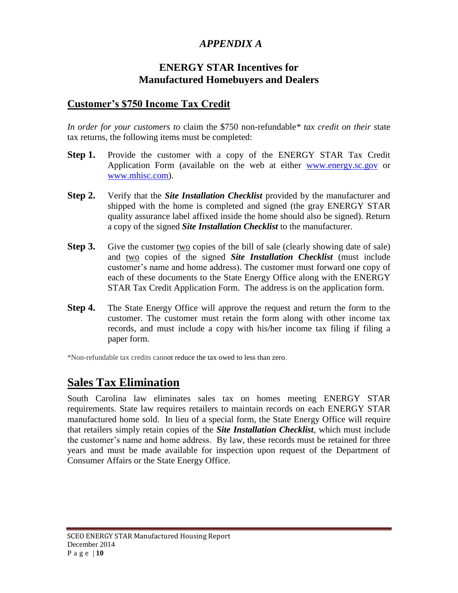# *APPENDIX A*

# **ENERGY STAR Incentives for Manufactured Homebuyers and Dealers**

# **Customer's \$750 Income Tax Credit**

*In order for your customers to* claim the \$750 non-refundable*\* tax credit on their s*tate tax returns, the following items must be completed:

- **Step 1.** Provide the customer with a copy of the ENERGY STAR Tax Credit Application Form (available on the web at either [www.energy.sc.gov](https://www.energy.sc.gov/) or [www.mhisc.com\)](http://www.mhisc.com/).
- **Step 2.** Verify that the *Site Installation Checklist* provided by the manufacturer and shipped with the home is completed and signed (the gray ENERGY STAR quality assurance label affixed inside the home should also be signed). Return a copy of the signed *Site Installation Checklist* to the manufacturer.
- **Step 3.** Give the customer two copies of the bill of sale (clearly showing date of sale) and two copies of the signed *Site Installation Checklist* (must include customer's name and home address). The customer must forward one copy of each of these documents to the State Energy Office along with the ENERGY STAR Tax Credit Application Form. The address is on the application form.
- **Step 4.** The State Energy Office will approve the request and return the form to the customer. The customer must retain the form along with other income tax records, and must include a copy with his/her income tax filing if filing a paper form.

\*Non-refundable tax credits cannot reduce the tax owed to less than zero.

# **Sales Tax Elimination**

South Carolina law eliminates sales tax on homes meeting ENERGY STAR requirements. State law requires retailers to maintain records on each ENERGY STAR manufactured home sold. In lieu of a special form, the State Energy Office will require that retailers simply retain copies of the *Site Installation Checklist*, which must include the customer's name and home address. By law, these records must be retained for three years and must be made available for inspection upon request of the Department of Consumer Affairs or the State Energy Office.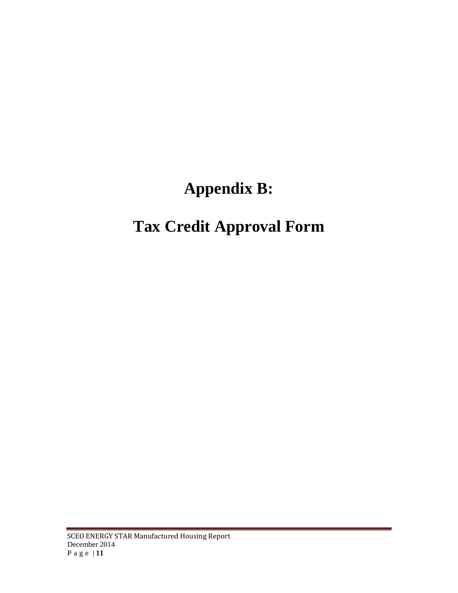# **Appendix B:**

# **Tax Credit Approval Form**